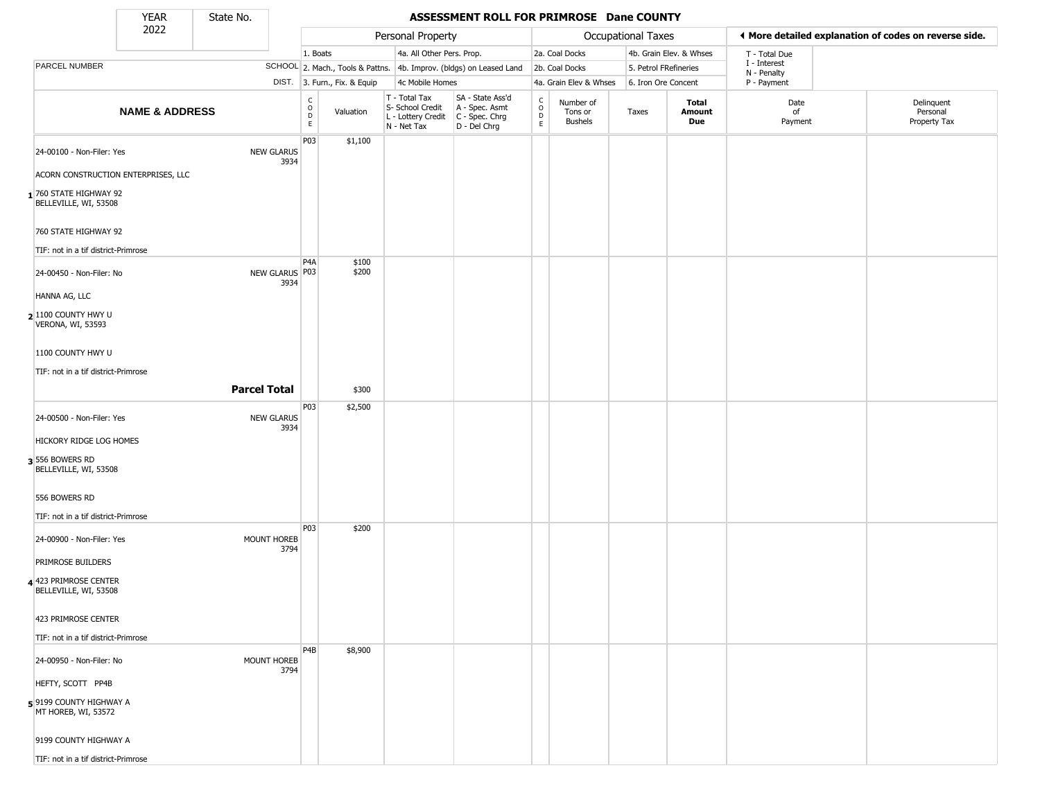State No.

Г

#### YEAR **ASSESSMENT ROLL FOR PRIMROSE Dane COUNTY**

|                                                | 2022                      |                     |                                              | Personal Property |                              | <b>Occupational Taxes</b>                                              |                                                                      |                                            |                                        | ♦ More detailed explanation of codes on reverse side. |                         |                            |                                        |
|------------------------------------------------|---------------------------|---------------------|----------------------------------------------|-------------------|------------------------------|------------------------------------------------------------------------|----------------------------------------------------------------------|--------------------------------------------|----------------------------------------|-------------------------------------------------------|-------------------------|----------------------------|----------------------------------------|
|                                                |                           |                     |                                              | 1. Boats          |                              |                                                                        | 4a. All Other Pers. Prop.                                            |                                            | 2a. Coal Docks                         |                                                       | 4b. Grain Elev. & Whses | T - Total Due              |                                        |
| PARCEL NUMBER                                  |                           |                     |                                              |                   |                              |                                                                        | SCHOOL 2. Mach., Tools & Pattns. 4b. Improv. (bldgs) on Leased Land  |                                            | 2b. Coal Docks                         | 5. Petrol FRefineries                                 |                         | I - Interest               |                                        |
|                                                |                           |                     |                                              |                   | DIST. 3. Furn., Fix. & Equip | 4c Mobile Homes                                                        |                                                                      |                                            | 4a. Grain Elev & Whses                 | 6. Iron Ore Concent                                   |                         | N - Penalty<br>P - Payment |                                        |
|                                                | <b>NAME &amp; ADDRESS</b> |                     | $\begin{array}{c}\nC \\ O \\ D\n\end{array}$ |                   | Valuation                    | T - Total Tax<br>S- School Credit<br>L - Lottery Credit<br>N - Net Tax | SA - State Ass'd<br>A - Spec. Asmt<br>C - Spec. Chrg<br>D - Del Chrg | $\begin{array}{c} C \\ 0 \\ E \end{array}$ | Number of<br>Tons or<br><b>Bushels</b> | Taxes                                                 | Total<br>Amount<br>Due  | Date<br>of<br>Payment      | Delinquent<br>Personal<br>Property Tax |
| 24-00100 - Non-Filer: Yes                      |                           | <b>NEW GLARUS</b>   | P03                                          |                   | \$1,100                      |                                                                        |                                                                      |                                            |                                        |                                                       |                         |                            |                                        |
| ACORN CONSTRUCTION ENTERPRISES, LLC            |                           |                     | 3934                                         |                   |                              |                                                                        |                                                                      |                                            |                                        |                                                       |                         |                            |                                        |
| 1760 STATE HIGHWAY 92<br>BELLEVILLE, WI, 53508 |                           |                     |                                              |                   |                              |                                                                        |                                                                      |                                            |                                        |                                                       |                         |                            |                                        |
| 760 STATE HIGHWAY 92                           |                           |                     |                                              |                   |                              |                                                                        |                                                                      |                                            |                                        |                                                       |                         |                            |                                        |
| TIF: not in a tif district-Primrose            |                           |                     |                                              |                   |                              |                                                                        |                                                                      |                                            |                                        |                                                       |                         |                            |                                        |
| 24-00450 - Non-Filer: No                       |                           | NEW GLARUS P03      | P4A<br>3934                                  |                   | \$100<br>\$200               |                                                                        |                                                                      |                                            |                                        |                                                       |                         |                            |                                        |
| HANNA AG, LLC                                  |                           |                     |                                              |                   |                              |                                                                        |                                                                      |                                            |                                        |                                                       |                         |                            |                                        |
| $2 1100$ County hwy u<br>VERONA, WI, 53593     |                           |                     |                                              |                   |                              |                                                                        |                                                                      |                                            |                                        |                                                       |                         |                            |                                        |
| 1100 COUNTY HWY U                              |                           |                     |                                              |                   |                              |                                                                        |                                                                      |                                            |                                        |                                                       |                         |                            |                                        |
| TIF: not in a tif district-Primrose            |                           |                     |                                              |                   |                              |                                                                        |                                                                      |                                            |                                        |                                                       |                         |                            |                                        |
|                                                |                           | <b>Parcel Total</b> |                                              |                   | \$300                        |                                                                        |                                                                      |                                            |                                        |                                                       |                         |                            |                                        |
| 24-00500 - Non-Filer: Yes                      |                           | <b>NEW GLARUS</b>   | P <sub>0</sub> 3                             |                   | \$2,500                      |                                                                        |                                                                      |                                            |                                        |                                                       |                         |                            |                                        |
| HICKORY RIDGE LOG HOMES                        |                           |                     | 3934                                         |                   |                              |                                                                        |                                                                      |                                            |                                        |                                                       |                         |                            |                                        |
| 3 556 BOWERS RD<br>BELLEVILLE, WI, 53508       |                           |                     |                                              |                   |                              |                                                                        |                                                                      |                                            |                                        |                                                       |                         |                            |                                        |
| 556 BOWERS RD                                  |                           |                     |                                              |                   |                              |                                                                        |                                                                      |                                            |                                        |                                                       |                         |                            |                                        |
| TIF: not in a tif district-Primrose            |                           |                     |                                              |                   |                              |                                                                        |                                                                      |                                            |                                        |                                                       |                         |                            |                                        |
| 24-00900 - Non-Filer: Yes                      |                           | MOUNT HOREB         | P03<br>3794                                  |                   | \$200                        |                                                                        |                                                                      |                                            |                                        |                                                       |                         |                            |                                        |
| PRIMROSE BUILDERS                              |                           |                     |                                              |                   |                              |                                                                        |                                                                      |                                            |                                        |                                                       |                         |                            |                                        |
| 4 423 PRIMROSE CENTER<br>BELLEVILLE, WI, 53508 |                           |                     |                                              |                   |                              |                                                                        |                                                                      |                                            |                                        |                                                       |                         |                            |                                        |
| 423 PRIMROSE CENTER                            |                           |                     |                                              |                   |                              |                                                                        |                                                                      |                                            |                                        |                                                       |                         |                            |                                        |
| TIF: not in a tif district-Primrose            |                           |                     |                                              |                   |                              |                                                                        |                                                                      |                                            |                                        |                                                       |                         |                            |                                        |
| 24-00950 - Non-Filer: No                       |                           | MOUNT HOREB         | P <sub>4</sub> B<br>3794                     |                   | \$8,900                      |                                                                        |                                                                      |                                            |                                        |                                                       |                         |                            |                                        |
| HEFTY, SCOTT PP4B                              |                           |                     |                                              |                   |                              |                                                                        |                                                                      |                                            |                                        |                                                       |                         |                            |                                        |
| 59199 COUNTY HIGHWAY A<br>MT HOREB, WI, 53572  |                           |                     |                                              |                   |                              |                                                                        |                                                                      |                                            |                                        |                                                       |                         |                            |                                        |
| 9199 COUNTY HIGHWAY A                          |                           |                     |                                              |                   |                              |                                                                        |                                                                      |                                            |                                        |                                                       |                         |                            |                                        |
| TIF: not in a tif district-Primrose            |                           |                     |                                              |                   |                              |                                                                        |                                                                      |                                            |                                        |                                                       |                         |                            |                                        |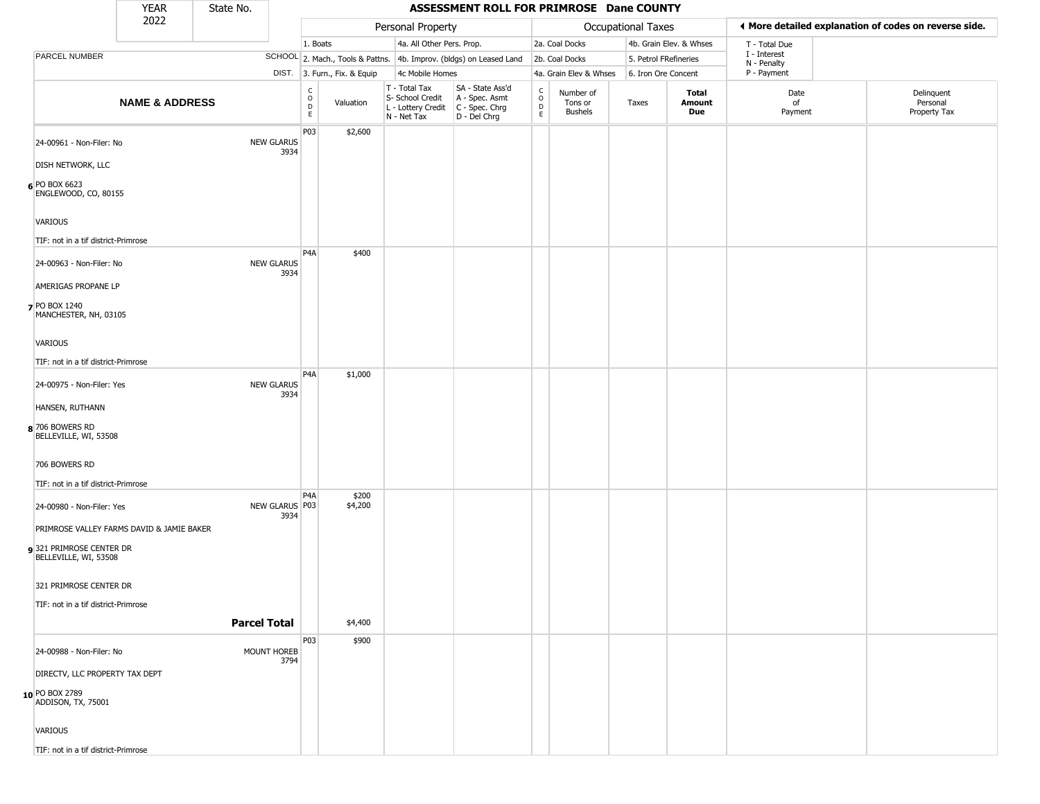|                                                  | <b>YEAR</b>                               | State No. |                           | ASSESSMENT ROLL FOR PRIMROSE Dane COUNTY |                              |                                                                                         |                                                                     |                                     |                                        |                       |                         |                             |  |                                                       |
|--------------------------------------------------|-------------------------------------------|-----------|---------------------------|------------------------------------------|------------------------------|-----------------------------------------------------------------------------------------|---------------------------------------------------------------------|-------------------------------------|----------------------------------------|-----------------------|-------------------------|-----------------------------|--|-------------------------------------------------------|
|                                                  | 2022                                      |           |                           |                                          |                              | Personal Property                                                                       |                                                                     |                                     |                                        | Occupational Taxes    |                         |                             |  | ♦ More detailed explanation of codes on reverse side. |
|                                                  |                                           |           |                           | 1. Boats                                 |                              | 4a. All Other Pers. Prop.                                                               |                                                                     |                                     | 2a. Coal Docks                         |                       | 4b. Grain Elev. & Whses | T - Total Due               |  |                                                       |
| <b>PARCEL NUMBER</b>                             |                                           |           |                           |                                          |                              |                                                                                         | SCHOOL 2. Mach., Tools & Pattns. 4b. Improv. (bldgs) on Leased Land |                                     | 2b. Coal Docks                         | 5. Petrol FRefineries |                         | I - Interest<br>N - Penalty |  |                                                       |
|                                                  |                                           |           |                           |                                          | DIST. 3. Furn., Fix. & Equip | 4c Mobile Homes                                                                         |                                                                     |                                     | 4a. Grain Elev & Whses                 | 6. Iron Ore Concent   |                         | P - Payment                 |  |                                                       |
|                                                  | <b>NAME &amp; ADDRESS</b>                 |           |                           | $_{\rm o}^{\rm c}$<br>D<br>E.            | Valuation                    | T - Total Tax<br>S- School Credit<br>L - Lottery Credit   C - Spec. Chrg<br>N - Net Tax | SA - State Ass'd<br>A - Spec. Asmt<br>D - Del Chrg                  | $_{\rm o}^{\rm c}$<br>$\frac{D}{E}$ | Number of<br>Tons or<br><b>Bushels</b> | Taxes                 | Total<br>Amount<br>Due  | Date<br>of<br>Payment       |  | Delinquent<br>Personal<br>Property Tax                |
| 24-00961 - Non-Filer: No                         |                                           |           | <b>NEW GLARUS</b><br>3934 | P03                                      | \$2,600                      |                                                                                         |                                                                     |                                     |                                        |                       |                         |                             |  |                                                       |
| DISH NETWORK, LLC                                |                                           |           |                           |                                          |                              |                                                                                         |                                                                     |                                     |                                        |                       |                         |                             |  |                                                       |
| 6 PO BOX 6623<br>ENGLEWOOD, CO, 80155            |                                           |           |                           |                                          |                              |                                                                                         |                                                                     |                                     |                                        |                       |                         |                             |  |                                                       |
| VARIOUS                                          |                                           |           |                           |                                          |                              |                                                                                         |                                                                     |                                     |                                        |                       |                         |                             |  |                                                       |
| TIF: not in a tif district-Primrose              |                                           |           |                           |                                          |                              |                                                                                         |                                                                     |                                     |                                        |                       |                         |                             |  |                                                       |
| 24-00963 - Non-Filer: No                         |                                           |           | NEW GLARUS<br>3934        | P <sub>4</sub> A                         | \$400                        |                                                                                         |                                                                     |                                     |                                        |                       |                         |                             |  |                                                       |
| AMERIGAS PROPANE LP                              |                                           |           |                           |                                          |                              |                                                                                         |                                                                     |                                     |                                        |                       |                         |                             |  |                                                       |
| <b>7</b> PO BOX 1240<br>MANCHESTER, NH, 03105    |                                           |           |                           |                                          |                              |                                                                                         |                                                                     |                                     |                                        |                       |                         |                             |  |                                                       |
| VARIOUS                                          |                                           |           |                           |                                          |                              |                                                                                         |                                                                     |                                     |                                        |                       |                         |                             |  |                                                       |
| TIF: not in a tif district-Primrose              |                                           |           |                           |                                          |                              |                                                                                         |                                                                     |                                     |                                        |                       |                         |                             |  |                                                       |
| 24-00975 - Non-Filer: Yes                        |                                           |           | <b>NEW GLARUS</b><br>3934 | P <sub>4</sub> A                         | \$1,000                      |                                                                                         |                                                                     |                                     |                                        |                       |                         |                             |  |                                                       |
| HANSEN, RUTHANN                                  |                                           |           |                           |                                          |                              |                                                                                         |                                                                     |                                     |                                        |                       |                         |                             |  |                                                       |
| 8 706 BOWERS RD<br>BELLEVILLE, WI, 53508         |                                           |           |                           |                                          |                              |                                                                                         |                                                                     |                                     |                                        |                       |                         |                             |  |                                                       |
| 706 BOWERS RD                                    |                                           |           |                           |                                          |                              |                                                                                         |                                                                     |                                     |                                        |                       |                         |                             |  |                                                       |
| TIF: not in a tif district-Primrose              |                                           |           |                           |                                          |                              |                                                                                         |                                                                     |                                     |                                        |                       |                         |                             |  |                                                       |
| 24-00980 - Non-Filer: Yes                        |                                           |           | NEW GLARUS   P03<br>3934  | P <sub>4</sub> A                         | \$200<br>\$4,200             |                                                                                         |                                                                     |                                     |                                        |                       |                         |                             |  |                                                       |
|                                                  | PRIMROSE VALLEY FARMS DAVID & JAMIE BAKER |           |                           |                                          |                              |                                                                                         |                                                                     |                                     |                                        |                       |                         |                             |  |                                                       |
| 9321 PRIMROSE CENTER DR<br>BELLEVILLE, WI, 53508 |                                           |           |                           |                                          |                              |                                                                                         |                                                                     |                                     |                                        |                       |                         |                             |  |                                                       |
| 321 PRIMROSE CENTER DR                           |                                           |           |                           |                                          |                              |                                                                                         |                                                                     |                                     |                                        |                       |                         |                             |  |                                                       |
| TIF: not in a tif district-Primrose              |                                           |           |                           |                                          |                              |                                                                                         |                                                                     |                                     |                                        |                       |                         |                             |  |                                                       |
|                                                  |                                           |           | <b>Parcel Total</b>       |                                          | \$4,400                      |                                                                                         |                                                                     |                                     |                                        |                       |                         |                             |  |                                                       |
| 24-00988 - Non-Filer: No                         |                                           |           | MOUNT HOREB<br>3794       | P03                                      | \$900                        |                                                                                         |                                                                     |                                     |                                        |                       |                         |                             |  |                                                       |
|                                                  | DIRECTV, LLC PROPERTY TAX DEPT            |           |                           |                                          |                              |                                                                                         |                                                                     |                                     |                                        |                       |                         |                             |  |                                                       |
| 10 PO BOX 2789<br>ADDISON, TX, 75001             |                                           |           |                           |                                          |                              |                                                                                         |                                                                     |                                     |                                        |                       |                         |                             |  |                                                       |
| VARIOUS                                          |                                           |           |                           |                                          |                              |                                                                                         |                                                                     |                                     |                                        |                       |                         |                             |  |                                                       |
| TIF: not in a tif district-Primrose              |                                           |           |                           |                                          |                              |                                                                                         |                                                                     |                                     |                                        |                       |                         |                             |  |                                                       |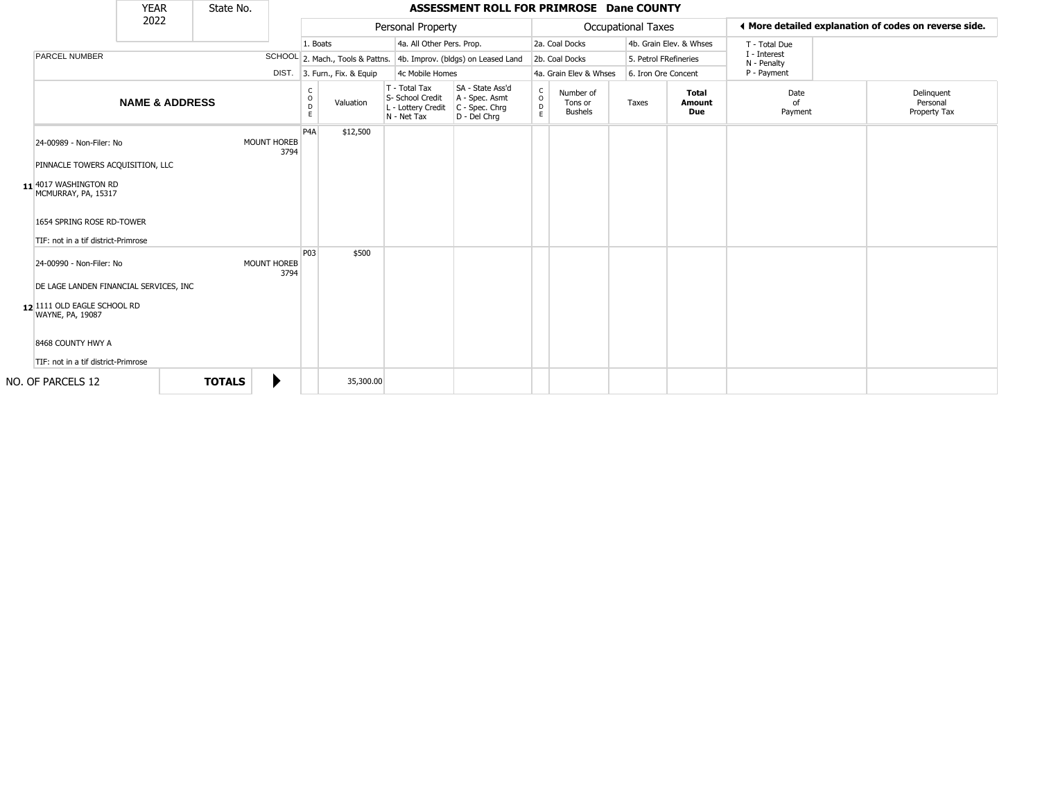|                                                                                                                                                                                   | <b>YEAR</b>               | State No.     |                            | ASSESSMENT ROLL FOR PRIMROSE Dane COUNTY |                              |                                                                        |                                                                      |                           |                                        |                                                       |                         |                             |  |                                        |
|-----------------------------------------------------------------------------------------------------------------------------------------------------------------------------------|---------------------------|---------------|----------------------------|------------------------------------------|------------------------------|------------------------------------------------------------------------|----------------------------------------------------------------------|---------------------------|----------------------------------------|-------------------------------------------------------|-------------------------|-----------------------------|--|----------------------------------------|
|                                                                                                                                                                                   | 2022                      |               |                            |                                          |                              | Personal Property                                                      |                                                                      | <b>Occupational Taxes</b> |                                        | ♦ More detailed explanation of codes on reverse side. |                         |                             |  |                                        |
|                                                                                                                                                                                   |                           |               |                            | 1. Boats                                 |                              | 4a. All Other Pers. Prop.                                              |                                                                      |                           | 2a. Coal Docks                         |                                                       | 4b. Grain Elev. & Whses | T - Total Due               |  |                                        |
| <b>PARCEL NUMBER</b>                                                                                                                                                              |                           |               |                            |                                          |                              |                                                                        | SCHOOL 2. Mach., Tools & Pattns. 4b. Improv. (bldgs) on Leased Land  |                           | 2b. Coal Docks                         | 5. Petrol FRefineries                                 |                         | I - Interest<br>N - Penalty |  |                                        |
|                                                                                                                                                                                   |                           |               |                            |                                          | DIST. 3. Furn., Fix. & Equip | 4c Mobile Homes                                                        |                                                                      |                           | 4a. Grain Elev & Whses                 | 6. Iron Ore Concent                                   |                         | P - Payment                 |  |                                        |
|                                                                                                                                                                                   | <b>NAME &amp; ADDRESS</b> |               |                            | C<br>$\circ$<br>D<br>E.                  | Valuation                    | T - Total Tax<br>S- School Credit<br>L - Lottery Credit<br>N - Net Tax | SA - State Ass'd<br>A - Spec. Asmt<br>C - Spec. Chrg<br>D - Del Chrq | $\frac{c}{0}$<br>D<br>E   | Number of<br>Tons or<br><b>Bushels</b> | Taxes                                                 | Total<br>Amount<br>Due  | Date<br>of<br>Payment       |  | Delinguent<br>Personal<br>Property Tax |
| 24-00989 - Non-Filer: No<br>PINNACLE TOWERS ACQUISITION, LLC<br>11 4017 WASHINGTON RD<br>MCMURRAY, PA, 15317<br>1654 SPRING ROSE RD-TOWER<br>TIF: not in a tif district-Primrose  |                           |               | <b>MOUNT HOREB</b><br>3794 | P <sub>4</sub> A                         | \$12,500                     |                                                                        |                                                                      |                           |                                        |                                                       |                         |                             |  |                                        |
| 24-00990 - Non-Filer: No<br>DE LAGE LANDEN FINANCIAL SERVICES, INC<br>12 1111 OLD EAGLE SCHOOL RD<br>WAYNE, PA, 19087<br>8468 COUNTY HWY A<br>TIF: not in a tif district-Primrose |                           |               | MOUNT HOREB<br>3794        | P <sub>03</sub>                          | \$500                        |                                                                        |                                                                      |                           |                                        |                                                       |                         |                             |  |                                        |
| NO. OF PARCELS 12                                                                                                                                                                 |                           | <b>TOTALS</b> | ▶                          |                                          | 35,300.00                    |                                                                        |                                                                      |                           |                                        |                                                       |                         |                             |  |                                        |